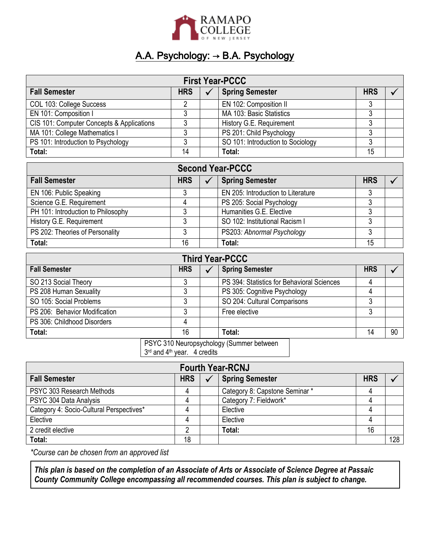

## A.A. Psychology: → B.A. Psychology

| <b>First Year-PCCC</b>                    |            |  |                                   |            |  |
|-------------------------------------------|------------|--|-----------------------------------|------------|--|
| <b>Fall Semester</b>                      | <b>HRS</b> |  | <b>Spring Semester</b>            | <b>HRS</b> |  |
| COL 103: College Success                  |            |  | EN 102: Composition II            |            |  |
| EN 101: Composition I                     |            |  | MA 103: Basic Statistics          |            |  |
| CIS 101: Computer Concepts & Applications |            |  | History G.E. Requirement          |            |  |
| MA 101: College Mathematics I             |            |  | PS 201: Child Psychology          |            |  |
| PS 101: Introduction to Psychology        |            |  | SO 101: Introduction to Sociology |            |  |
| Total:                                    | 14         |  | Total:                            | 15         |  |

| <b>Second Year-PCCC</b>            |            |  |                                    |            |  |
|------------------------------------|------------|--|------------------------------------|------------|--|
| <b>Fall Semester</b>               | <b>HRS</b> |  | <b>Spring Semester</b>             | <b>HRS</b> |  |
| EN 106: Public Speaking            |            |  | EN 205: Introduction to Literature |            |  |
| Science G.E. Requirement           |            |  | PS 205: Social Psychology          |            |  |
| PH 101: Introduction to Philosophy |            |  | Humanities G.E. Elective           |            |  |
| History G.E. Requirement           | າ          |  | SO 102: Institutional Racism I     |            |  |
| PS 202: Theories of Personality    |            |  | PS203: Abnormal Psychology         |            |  |
| Total:                             | 16         |  | Total:                             | 15         |  |

| <b>Third Year-PCCC</b>                                                                                                                                                                                                                                                                                                                                                                   |  |            |  |                                            |            |    |
|------------------------------------------------------------------------------------------------------------------------------------------------------------------------------------------------------------------------------------------------------------------------------------------------------------------------------------------------------------------------------------------|--|------------|--|--------------------------------------------|------------|----|
| <b>Fall Semester</b>                                                                                                                                                                                                                                                                                                                                                                     |  | <b>HRS</b> |  | <b>Spring Semester</b>                     | <b>HRS</b> |    |
| SO 213 Social Theory                                                                                                                                                                                                                                                                                                                                                                     |  |            |  | PS 394: Statistics for Behavioral Sciences |            |    |
| PS 208 Human Sexuality                                                                                                                                                                                                                                                                                                                                                                   |  | J          |  | PS 305: Cognitive Psychology               |            |    |
| SO 105: Social Problems                                                                                                                                                                                                                                                                                                                                                                  |  |            |  | SO 204: Cultural Comparisons               |            |    |
| PS 206: Behavior Modification                                                                                                                                                                                                                                                                                                                                                            |  |            |  | Free elective                              |            |    |
| PS 306: Childhood Disorders                                                                                                                                                                                                                                                                                                                                                              |  | 4          |  |                                            |            |    |
| Total:                                                                                                                                                                                                                                                                                                                                                                                   |  | 16         |  | Total:                                     | 14         | 90 |
| $\overline{D}$ ( $\overline{O}$ ) $\overline{O}$ $\overline{O}$ $\overline{O}$ $\overline{O}$ $\overline{O}$ $\overline{O}$ $\overline{O}$ $\overline{O}$ $\overline{O}$ $\overline{O}$ $\overline{O}$ $\overline{O}$ $\overline{O}$ $\overline{O}$ $\overline{O}$ $\overline{O}$ $\overline{O}$ $\overline{O}$ $\overline{O}$ $\overline{O}$ $\overline{O}$ $\overline{O}$ $\overline{$ |  |            |  |                                            |            |    |

PSYC 310 Neuropsychology (Summer between

3 rd and 4th year. 4 credits

| <b>Fourth Year-RCNJ</b>                  |            |  |                               |            |     |
|------------------------------------------|------------|--|-------------------------------|------------|-----|
| <b>Fall Semester</b>                     | <b>HRS</b> |  | <b>Spring Semester</b>        | <b>HRS</b> |     |
| PSYC 303 Research Methods                | 4          |  | Category 8: Capstone Seminar* |            |     |
| PSYC 304 Data Analysis                   | 4          |  | Category 7: Fieldwork*        |            |     |
| Category 4: Socio-Cultural Perspectives* | 4          |  | Elective                      |            |     |
| Elective                                 | 4          |  | Elective                      |            |     |
| 2 credit elective                        |            |  | Total:                        | 16         |     |
| Total:                                   | 18         |  |                               |            | 128 |

*\*Course can be chosen from an approved list*

*This plan is based on the completion of an Associate of Arts or Associate of Science Degree at Passaic County Community College encompassing all recommended courses. This plan is subject to change.*